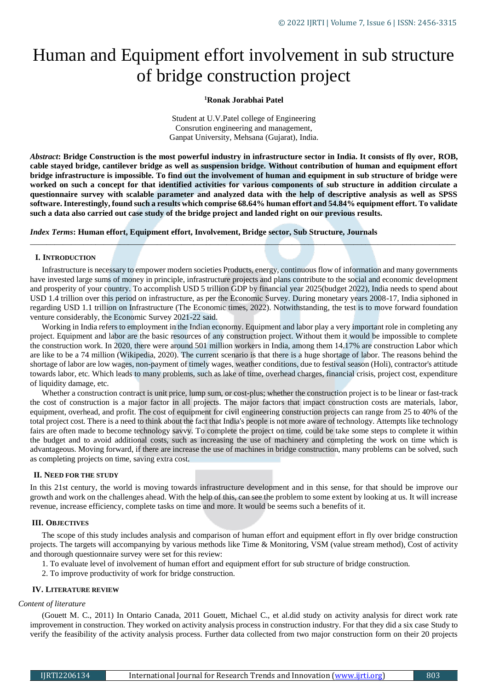# Human and Equipment effort involvement in sub structure of bridge construction project

## **<sup>1</sup>Ronak Jorabhai Patel**

Student at U.V.Patel college of Engineering Consrution engineering and management, Ganpat University, Mehsana (Gujarat), India.

*Abstract***: Bridge Construction is the most powerful industry in infrastructure sector in India. It consists of fly over, ROB, cable stayed bridge, cantilever bridge as well as suspension bridge. Without contribution of human and equipment effort bridge infrastructure is impossible. To find out the involvement of human and equipment in sub structure of bridge were worked on such a concept for that identified activities for various components of sub structure in addition circulate a questionnaire survey with scalable parameter and analyzed data with the help of descriptive analysis as well as SPSS software. Interestingly, found such a results which comprise 68.64% human effort and 54.84% equipment effort. To validate such a data also carried out case study of the bridge project and landed right on our previous results.**

*Index Terms***: Human effort, Equipment effort, Involvement, Bridge sector, Sub Structure, Journals**

## **I. INTRODUCTION**

Infrastructure is necessary to empower modern societies Products, energy, continuous flow of information and many governments have invested large sums of money in principle, infrastructure projects and plans contribute to the social and economic development and prosperity of your country. To accomplish USD 5 trillion GDP by financial year 2025(budget 2022), India needs to spend about USD 1.4 trillion over this period on infrastructure, as per the Economic Survey. During monetary years 2008-17, India siphoned in regarding USD 1.1 trillion on Infrastructure (The Economic times, 2022). Notwithstanding, the test is to move forward foundation venture considerably, the Economic Survey 2021-22 said.

*\_\_\_\_\_\_\_\_\_\_\_\_\_\_\_\_\_\_\_\_\_\_\_\_\_\_\_\_\_\_\_\_\_\_\_\_\_\_\_\_\_\_\_\_\_\_\_\_\_\_\_\_\_\_\_\_\_\_\_\_\_\_\_\_\_\_\_\_\_\_\_\_\_\_\_\_\_\_\_\_\_\_\_\_\_\_\_\_\_\_\_\_\_\_\_\_\_\_\_\_\_\_\_\_*

Working in India refers to employment in the Indian economy. Equipment and labor play a very important role in completing any project. Equipment and labor are the basic resources of any construction project. Without them it would be impossible to complete the construction work. In 2020, there were around 501 million workers in India, among them 14.17% are construction Labor which are like to be a 74 million (Wikipedia, 2020). The current scenario is that there is a huge shortage of labor. The reasons behind the shortage of labor are low wages, non-payment of timely wages, weather conditions, due to festival season (Holi), contractor's attitude towards labor, etc. Which leads to many problems, such as lake of time, overhead charges, financial crisis, project cost, expenditure of liquidity damage, etc.

Whether a construction contract is unit price, lump sum, or cost-plus; whether the construction project is to be linear or fast-track the cost of construction is a major factor in all projects. The major factors that impact construction costs are materials, labor, equipment, overhead, and profit. The cost of equipment for civil engineering construction projects can range from 25 to 40% of the total project cost. There is a need to think about the fact that India's people is not more aware of technology. Attempts like technology fairs are often made to become technology savvy. To complete the project on time, could be take some steps to complete it within the budget and to avoid additional costs, such as increasing the use of machinery and completing the work on time which is advantageous. Moving forward, if there are increase the use of machines in bridge construction, many problems can be solved, such as completing projects on time, saving extra cost.

#### **II. NEED FOR THE STUDY**

In this 21st century, the world is moving towards infrastructure development and in this sense, for that should be improve our growth and work on the challenges ahead. With the help of this, can see the problem to some extent by looking at us. It will increase revenue, increase efficiency, complete tasks on time and more. It would be seems such a benefits of it.

## **III. OBJECTIVES**

The scope of this study includes analysis and comparison of human effort and equipment effort in fly over bridge construction projects. The targets will accompanying by various methods like Time & Monitoring, VSM (value stream method), Cost of activity and thorough questionnaire survey were set for this review:

- 1. To evaluate level of involvement of human effort and equipment effort for sub structure of bridge construction.
- 2. To improve productivity of work for bridge construction.

## **IV. LITERATURE REVIEW**

## *Content of literature*

(Gouett M. C., 2011) In Ontario Canada, 2011 Gouett, Michael C., et al.did study on activity analysis for direct work rate improvement in construction. They worked on activity analysis process in construction industry. For that they did a six case Study to verify the feasibility of the activity analysis process. Further data collected from two major construction form on their 20 projects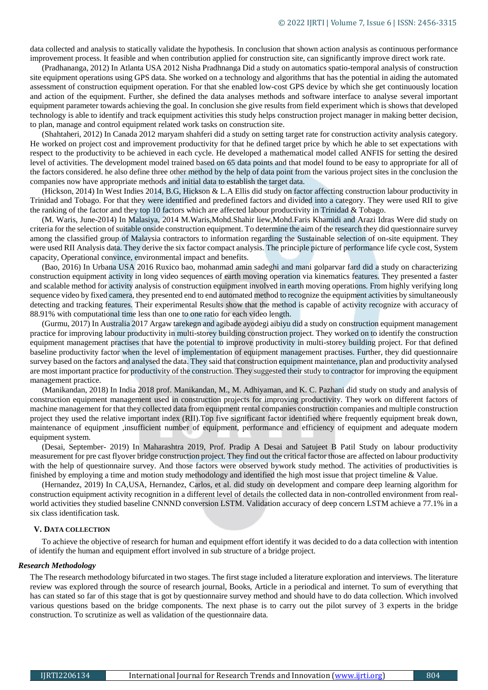data collected and analysis to statically validate the hypothesis. In conclusion that shown action analysis as continuous performance improvement process. It feasible and when contribution applied for construction site, can significantly improve direct work rate.

(Pradhananga, 2012) In Atlanta USA 2012 Nisha Pradhnanga Did a study on automatics spatio-temporal analysis of construction site equipment operations using GPS data. She worked on a technology and algorithms that has the potential in aiding the automated assessment of construction equipment operation. For that she enabled low-cost GPS device by which she get continuously location and action of the equipment. Further, she defined the data analyses methods and software interface to analyse several important equipment parameter towards achieving the goal. In conclusion she give results from field experiment which is shows that developed technology is able to identify and track equipment activities this study helps construction project manager in making better decision, to plan, manage and control equipment related work tasks on construction site.

(Shahtaheri, 2012) In Canada 2012 maryam shahferi did a study on setting target rate for construction activity analysis category. He worked on project cost and improvement productivity for that he defined target price by which he able to set expectations with respect to the productivity to be achieved in each cycle. He developed a mathematical model called ANFIS for setting the desired level of activities. The development model trained based on 65 data points and that model found to be easy to appropriate for all of the factors considered. he also define three other method by the help of data point from the various project sites in the conclusion the companies now have appropriate methods and initial data to establish the target data.

(Hickson, 2014) In West Indies 2014, B.G, Hickson & L.A Ellis did study on factor affecting construction labour productivity in Trinidad and Tobago. For that they were identified and predefined factors and divided into a category. They were used RII to give the ranking of the factor and they top 10 factors which are affected labour productivity in Trinidad & Tobago.

(M. Waris, June-2014) In Malasiya, 2014 M.Waris,Mohd.Shahir liew,Mohd.Faris Khamidi and Arazi Idras Were did study on criteria for the selection of suitable onside construction equipment. To determine the aim of the research they did questionnaire survey among the classified group of Malaysia contractors to information regarding the Sustainable selection of on-site equipment. They were used RII Analysis data. They derive the six factor compact analysis. The principle picture of performance life cycle cost, System capacity, Operational convince, environmental impact and benefits.

(Bao, 2016) In Urbana USA 2016 Ruxico bao, mohanmad amin sadeghi and mani golparvar fard did a study on characterizing construction equipment activity in long video sequences of earth moving operation via kinematics features. They presented a faster and scalable method for activity analysis of construction equipment involved in earth moving operations. From highly verifying long sequence video by fixed camera, they presented end to end automated method to recognize the equipment activities by simultaneously detecting and tracking features. Their experimental Results show that the method is capable of activity recognize with accuracy of 88.91% with computational time less than one to one ratio for each video length.

(Gurmu, 2017) In Australia 2017 Argaw tarekegn and agibade ayodegi aibiyu did a study on construction equipment management practice for improving labour productivity in multi-storey building construction project. They worked on to identify the construction equipment management practises that have the potential to improve productivity in multi-storey building project. For that defined baseline productivity factor when the level of implementation of equipment management practises. Further, they did questionnaire survey based on the factors and analysed the data. They said that construction equipment maintenance, plan and productivity analysed are most important practice for productivity of the construction. They suggested their study to contractor for improving the equipment management practice.

(Manikandan, 2018) In India 2018 prof. Manikandan, M., M. Adhiyaman, and K. C. Pazhani did study on study and analysis of construction equipment management used in construction projects for improving productivity. They work on different factors of machine management for that they collected data from equipment rental companies construction companies and multiple construction project they used the relative important index (RII).Top five significant factor identified where frequently equipment break down, maintenance of equipment ,insufficient number of equipment, performance and efficiency of equipment and adequate modern equipment system.

(Desai, September- 2019) In Maharashtra 2019, Prof. Pradip A Desai and Satujeet B Patil Study on labour productivity measurement for pre cast flyover bridge construction project. They find out the critical factor those are affected on labour productivity with the help of questionnaire survey. And those factors were observed bywork study method. The activities of productivities is finished by employing a time and motion study methodology and identified the high most issue that project timeline & Value.

(Hernandez, 2019) In CA,USA, Hernandez, Carlos, et al. did study on development and compare deep learning algorithm for construction equipment activity recognition in a different level of details the collected data in non-controlled environment from realworld activities they studied baseline CNNND conversion LSTM. Validation accuracy of deep concern LSTM achieve a 77.1% in a six class identification task.

#### **V. DATA COLLECTION**

To achieve the objective of research for human and equipment effort identify it was decided to do a data collection with intention of identify the human and equipment effort involved in sub structure of a bridge project.

#### *Research Methodology*

The The research methodology bifurcated in two stages. The first stage included a literature exploration and interviews. The literature review was explored through the source of research journal, Books, Article in a periodical and internet. To sum of everything that has can stated so far of this stage that is got by questionnaire survey method and should have to do data collection. Which involved various questions based on the bridge components. The next phase is to carry out the pilot survey of 3 experts in the bridge construction. To scrutinize as well as validation of the questionnaire data.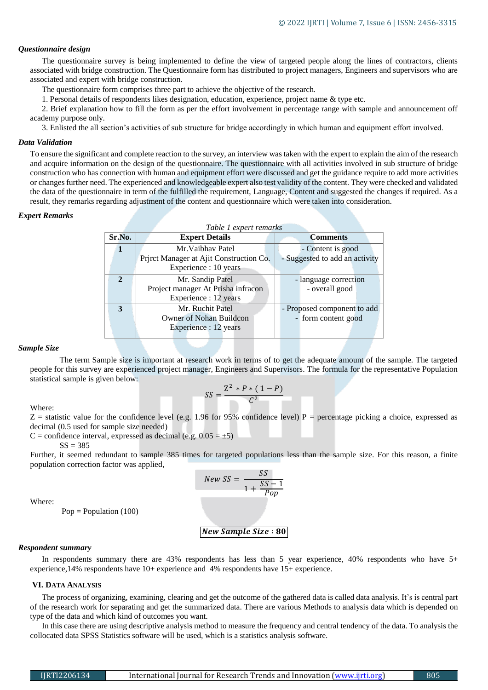## *Questionnaire design*

The questionnaire survey is being implemented to define the view of targeted people along the lines of contractors, clients associated with bridge construction. The Questionnaire form has distributed to project managers, Engineers and supervisors who are associated and expert with bridge construction.

The questionnaire form comprises three part to achieve the objective of the research.

1. Personal details of respondents likes designation, education, experience, project name & type etc.

2. Brief explanation how to fill the form as per the effort involvement in percentage range with sample and announcement off academy purpose only.

3. Enlisted the all section's activities of sub structure for bridge accordingly in which human and equipment effort involved.

#### *Data Validation*

To ensure the significant and complete reaction to the survey, an interview was taken with the expert to explain the aim of the research and acquire information on the design of the questionnaire. The questionnaire with all activities involved in sub structure of bridge construction who has connection with human and equipment effort were discussed and get the guidance require to add more activities or changes further need. The experienced and knowledgeable expert also test validity of the content. They were checked and validated the data of the questionnaire in term of the fulfilled the requirement, Language, Content and suggested the changes if required. As a result, they remarks regarding adjustment of the content and questionnaire which were taken into consideration.

#### *Expert Remarks*

| Table 1 expert remarks |                                         |                                |  |  |  |  |  |  |
|------------------------|-----------------------------------------|--------------------------------|--|--|--|--|--|--|
| Sr.No.                 | <b>Expert Details</b>                   | <b>Comments</b>                |  |  |  |  |  |  |
| 1                      | Mr. Vaibhay Patel                       | - Content is good              |  |  |  |  |  |  |
|                        | Prirct Manager at Ajit Construction Co. | - Suggested to add an activity |  |  |  |  |  |  |
|                        | Experience : 10 years                   |                                |  |  |  |  |  |  |
| $\overline{2}$         | Mr. Sandip Patel                        | - language correction          |  |  |  |  |  |  |
|                        | Project manager At Prisha infracon      | - overall good                 |  |  |  |  |  |  |
|                        | Experience : 12 years                   |                                |  |  |  |  |  |  |
| 3                      | Mr. Ruchit Patel                        | - Proposed component to add    |  |  |  |  |  |  |
|                        | Owner of Nohan Buildcon                 | - form content good            |  |  |  |  |  |  |
|                        | Experience : 12 years                   |                                |  |  |  |  |  |  |

#### *Sample Size*

The term Sample size is important at research work in terms of to get the adequate amount of the sample. The targeted people for this survey are experienced project manager, Engineers and Supervisors. The formula for the representative Population statistical sample is given below:

$$
SS = \frac{Z^2 \cdot P \cdot (1 - P)}{C^2}
$$

Where:

 $Z =$  statistic value for the confidence level (e.g. 1.96 for 95% confidence level) P = percentage picking a choice, expressed as decimal (0.5 used for sample size needed)

C = confidence interval, expressed as decimal (e.g.  $0.05 = \pm 5$ )

 $SS = 385$ 

Further, it seemed redundant to sample 385 times for targeted populations less than the sample size. For this reason, a finite population correction factor was applied,

$$
New SS = \frac{SS}{1 + \frac{SS - 1}{Pop}}
$$

Where:

 $Pop = Population (100)$ 

∶

#### *Respondent summary*

In respondents summary there are 43% respondents has less than 5 year experience, 40% respondents who have 5+ experience,14% respondents have 10+ experience and 4% respondents have 15+ experience.

## **VI. DATA ANALYSIS**

The process of organizing, examining, clearing and get the outcome of the gathered data is called data analysis. It's is central part of the research work for separating and get the summarized data. There are various Methods to analysis data which is depended on type of the data and which kind of outcomes you want.

In this case there are using descriptive analysis method to measure the frequency and central tendency of the data. To analysis the collocated data SPSS Statistics software will be used, which is a statistics analysis software.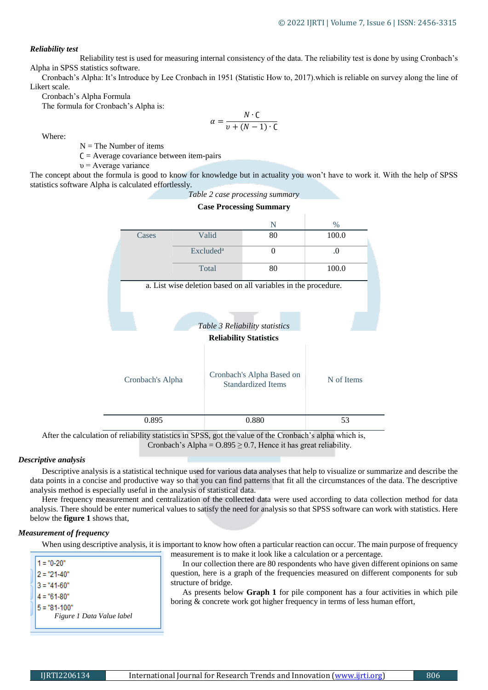## *Reliability test*

Reliability test is used for measuring internal consistency of the data. The reliability test is done by using Cronbach's Alpha in SPSS statistics software.

Cronbach's Alpha: It's Introduce by Lee Cronbach in 1951 (Statistic How to, 2017).which is reliable on survey along the line of Likert scale.

Cronbach's Alpha Formula

The formula for Cronbach's Alpha is:

$$
\alpha = \frac{N \cdot C}{v + (N-1) \cdot C}
$$

Where:

 $N =$ The Number of items

 $C =$  Average covariance between item-pairs

 $v =$  Average variance

The concept about the formula is good to know for knowledge but in actuality you won't have to work it. With the help of SPSS statistics software Alpha is calculated effortlessly.



After the calculation of reliability statistics in SPSS, got the value of the Cronbach's alpha which is, Cronbach's Alpha =  $0.895 \ge 0.7$ , Hence it has great reliability.

## *Descriptive analysis*

Descriptive analysis is a statistical technique used for various data analyses that help to visualize or summarize and describe the data points in a concise and productive way so that you can find patterns that fit all the circumstances of the data. The descriptive analysis method is especially useful in the analysis of statistical data.

Here frequency measurement and centralization of the collected data were used according to data collection method for data analysis. There should be enter numerical values to satisfy the need for analysis so that SPSS software can work with statistics. Here below the **figure 1** shows that,

# *Measurement of frequency*

When using descriptive analysis, it is important to know how often a particular reaction can occur. The main purpose of frequency measurement is to make it look like a calculation or a percentage.

| $1 = "0-20"$              |
|---------------------------|
| $2 = "21-40"$             |
| 3 = "41-60"               |
| 4 = "61-80"               |
| 5 = "81-100"              |
| Figure 1 Data Value label |

In our collection there are 80 respondents who have given different opinions on same question, here is a graph of the frequencies measured on different components for sub structure of bridge.

As presents below **Graph 1** for pile component has a four activities in which pile boring & concrete work got higher frequency in terms of less human effort,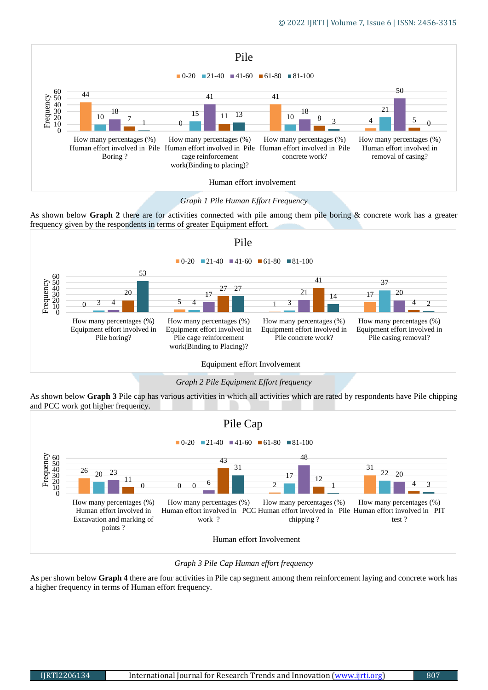

*Graph 1 Pile Human Effort Frequency*

As shown below **Graph 2** there are for activities connected with pile among them pile boring & concrete work has a greater frequency given by the respondents in terms of greater Equipment effort.



*Graph 2 Pile Equipment Effort frequency*

As shown below **Graph 3** Pile cap has various activities in which all activities which are rated by respondents have Pile chipping and PCC work got higher frequency.



*Graph 3 Pile Cap Human effort frequency*

As per shown below **Graph 4** there are four activities in Pile cap segment among them reinforcement laying and concrete work has a higher frequency in terms of Human effort frequency.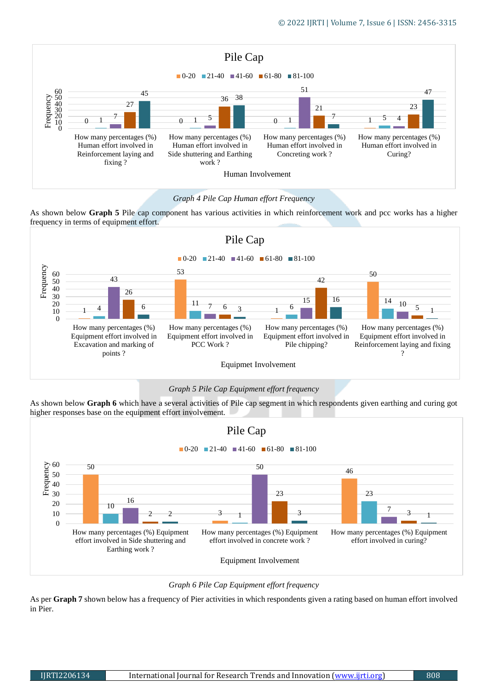

# *Graph 4 Pile Cap Human effort Frequency*

As shown below **Graph 5** Pile cap component has various activities in which reinforcement work and pcc works has a higher frequency in terms of equipment effort.



# *Graph 5 Pile Cap Equipment effort frequency*

As shown below **Graph 6** which have a several activities of Pile cap segment in which respondents given earthing and curing got higher responses base on the equipment effort involvement.



*Graph 6 Pile Cap Equipment effort frequency*

As per **Graph 7** shown below has a frequency of Pier activities in which respondents given a rating based on human effort involved in Pier.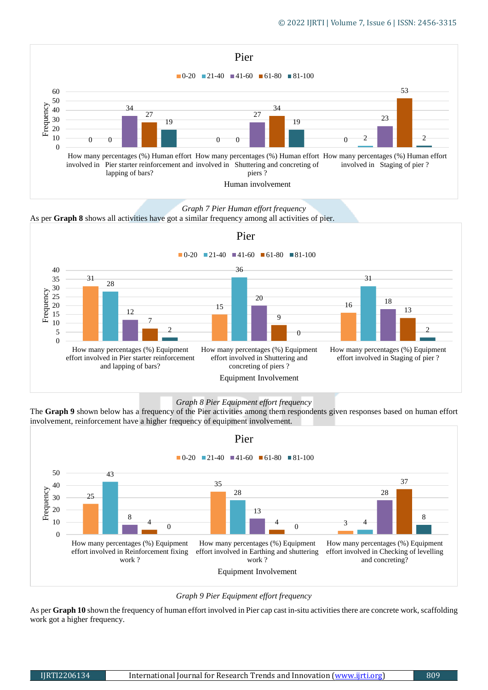

*Graph 7 Pier Human effort frequency*

As per **Graph 8** shows all activities have got a similar frequency among all activities of pier.





The **Graph 9** shown below has a frequency of the Pier activities among them respondents given responses based on human effort involvement, reinforcement have a higher frequency of equipment involvement.





As per **Graph 10** shown the frequency of human effort involved in Pier cap cast in-situ activities there are concrete work, scaffolding work got a higher frequency.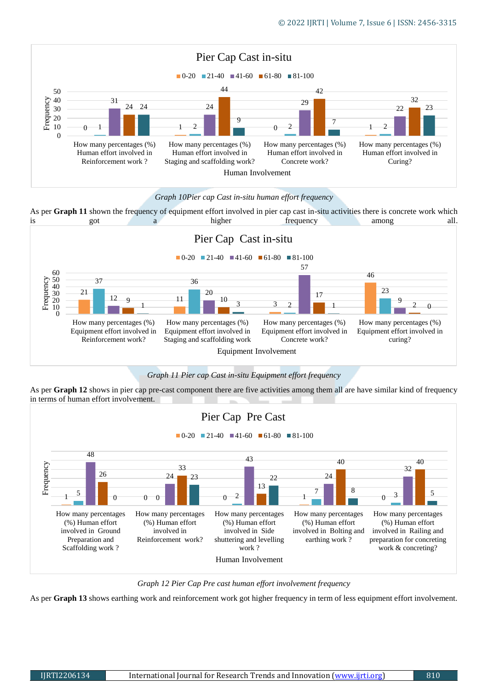

# *Graph 10Pier cap Cast in-situ human effort frequency*



*Graph 11 Pier cap Cast in-situ Equipment effort frequency*





*Graph 12 Pier Cap Pre cast human effort involvement frequency*

As per **Graph 13** shows earthing work and reinforcement work got higher frequency in term of less equipment effort involvement.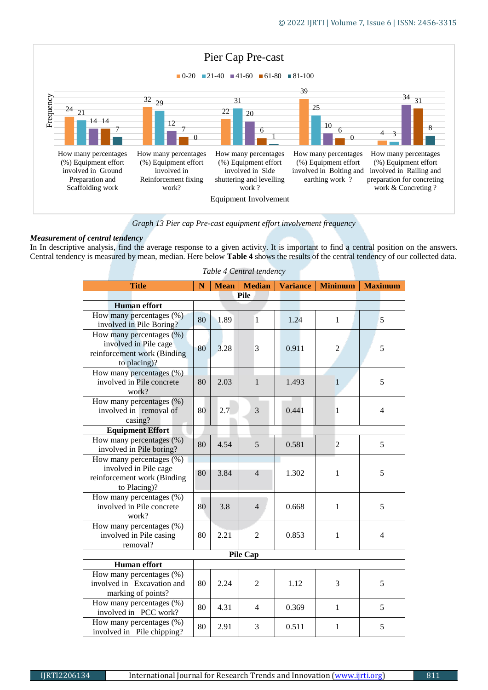

*Graph 13 Pier cap Pre-cast equipment effort involvement frequency*

# *Measurement of central tendency*

In In descriptive analysis, find the average response to a given activity. It is important to find a central position on the answers. Central tendency is measured by mean, median. Here below **Table 4** shows the results of the central tendency of our collected data.

| <b>Title</b>                                                                                     | $\mathbf N$ | <b>Mean</b> | <b>Median</b>   | <b>Variance</b> | <b>Minimum</b> | <b>Maximum</b> |
|--------------------------------------------------------------------------------------------------|-------------|-------------|-----------------|-----------------|----------------|----------------|
|                                                                                                  |             | <b>Pile</b> |                 |                 |                |                |
| <b>Human</b> effort                                                                              |             |             |                 |                 |                |                |
| How many percentages (%)<br>involved in Pile Boring?                                             | 80          | 1.89        | $\mathbf{1}$    | 1.24            | $\mathbf{1}$   | 5              |
| How many percentages (%)<br>involved in Pile cage<br>reinforcement work (Binding<br>to placing)? | 80          | 3.28        | 3               | 0.911           | $\overline{2}$ | 5              |
| How many percentages (%)<br>involved in Pile concrete<br>work?                                   | 80          | 2.03        | $\mathbf{1}$    | 1.493           | $\mathbf{1}$   | 5              |
| How many percentages (%)<br>involved in removal of<br>casing?                                    | 80          | 2.7         | 3               | 0.441           | $\mathbf{1}$   | $\overline{4}$ |
| <b>Equipment Effort</b>                                                                          |             |             |                 |                 |                |                |
| How many percentages (%)<br>involved in Pile boring?                                             | 80          | 4.54        | 5               | 0.581           | $\overline{c}$ | 5              |
| How many percentages (%)<br>involved in Pile cage<br>reinforcement work (Binding<br>to Placing)? | 80          | 3.84        | $\overline{4}$  | 1.302           | 1              | 5              |
| How many percentages (%)<br>involved in Pile concrete<br>work?                                   | 80          | 3.8         | $\overline{4}$  | 0.668           | $\mathbf{1}$   | 5              |
| How many percentages (%)<br>involved in Pile casing<br>removal?                                  | 80          | 2.21        | $\overline{2}$  | 0.853           | 1              | $\overline{4}$ |
|                                                                                                  |             |             | <b>Pile Cap</b> |                 |                |                |
| <b>Human</b> effort                                                                              |             |             |                 |                 |                |                |
| How many percentages (%)<br>involved in Excavation and<br>marking of points?                     | 80          | 2.24        | 2               | 1.12            | 3              | 5              |
| How many percentages (%)<br>involved in PCC work?                                                | 80          | 4.31        | 4               | 0.369           | $\mathbf{1}$   | 5              |
| How many percentages (%)<br>involved in Pile chipping?                                           | 80          | 2.91        | 3               | 0.511           | $\mathbf{1}$   | 5              |

*Table 4 Central tendency*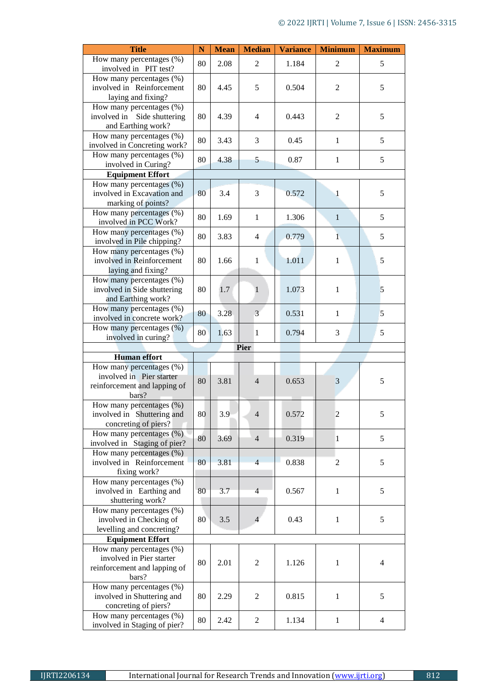| <b>Title</b>                                                                                  | $\mathbf N$ | <b>Mean</b> | <b>Median</b>  | <b>Variance</b> | <b>Minimum</b> | <b>Maximum</b> |
|-----------------------------------------------------------------------------------------------|-------------|-------------|----------------|-----------------|----------------|----------------|
| How many percentages (%)<br>involved in PIT test?                                             | 80          | 2.08        | $\overline{2}$ | 1.184           | $\overline{2}$ | 5              |
| How many percentages (%)<br>involved in Reinforcement<br>laying and fixing?                   | 80          | 4.45        | 5              | 0.504           | $\overline{c}$ | 5              |
| How many percentages (%)<br>involved in Side shuttering<br>and Earthing work?                 | 80          | 4.39        | $\overline{4}$ | 0.443           | $\mathbf{2}$   | 5              |
| How many percentages (%)<br>involved in Concreting work?                                      | 80          | 3.43        | 3              | 0.45            | $\mathbf{1}$   | 5              |
| How many percentages $(\%)$<br>involved in Curing?                                            | 80          | 4.38        | 5              | 0.87            | $\mathbf{1}$   | 5              |
| <b>Equipment Effort</b>                                                                       |             |             |                |                 |                |                |
| How many percentages (%)<br>involved in Excavation and<br>marking of points?                  | 80          | 3.4         | 3              | 0.572           | 1              | 5              |
| How many percentages (%)<br>involved in PCC Work?                                             | 80          | 1.69        | $\mathbf{1}$   | 1.306           | $\mathbf{1}$   | 5              |
| How many percentages (%)<br>involved in Pile chipping?                                        | 80          | 3.83        | $\overline{4}$ | 0.779           | $\mathbf{1}$   | 5              |
| How many percentages $(\%)$<br>involved in Reinforcement<br>laying and fixing?                | 80          | 1.66        | 1              | 1.011           | $\mathbf{1}$   | 5              |
| How many percentages (%)<br>involved in Side shuttering<br>and Earthing work?                 | 80          | 1.7         | $\mathbf{1}$   | 1.073           | $\mathbf{1}$   | 5              |
| How many percentages (%)<br>involved in concrete work?                                        | 80          | 3.28        | $\overline{3}$ | 0.531           | $\mathbf{1}$   | 5              |
| How many percentages (%)<br>involved in curing?                                               | 80          | 1.63        | $\mathbf{1}$   | 0.794           | 3              | 5              |
|                                                                                               |             |             | Pier           |                 |                |                |
| <b>Human</b> effort                                                                           |             |             |                |                 |                |                |
| How many percentages (%)<br>involved in Pier starter<br>reinforcement and lapping of<br>bars? | 80          | 3.81        | $\overline{4}$ | 0.653           | 3              | 5              |
| How many percentages (%)<br>involved in Shuttering and<br>concreting of piers?                | 80          | 3.9         | $\overline{4}$ | 0.572           | $\overline{c}$ | 5              |
| How many percentages $(\%)$<br>involved in Staging of pier?                                   | 80          | 3.69        | $\overline{4}$ | 0.319           | $\mathbf{1}$   | 5              |
| How many percentages (%)<br>involved in Reinforcement<br>fixing work?                         | 80          | 3.81        | $\overline{4}$ | 0.838           | 2              | 5              |
| How many percentages $(\%)$<br>involved in Earthing and<br>shuttering work?                   | 80          | 3.7         | $\overline{4}$ | 0.567           | $\mathbf{1}$   | 5              |
| How many percentages (%)<br>involved in Checking of<br>levelling and concreting?              | 80          | 3.5         | $\overline{4}$ | 0.43            | $\mathbf{1}$   | 5              |
| <b>Equipment Effort</b>                                                                       |             |             |                |                 |                |                |
| How many percentages (%)<br>involved in Pier starter<br>reinforcement and lapping of<br>bars? | 80          | 2.01        | $\overline{2}$ | 1.126           | $\mathbf{1}$   | $\overline{4}$ |
| How many percentages (%)<br>involved in Shuttering and<br>concreting of piers?                | 80          | 2.29        | 2              | 0.815           | $\mathbf{1}$   | 5              |
| How many percentages (%)<br>involved in Staging of pier?                                      | 80          | 2.42        | $\overline{2}$ | 1.134           | $\mathbf{1}$   | $\overline{4}$ |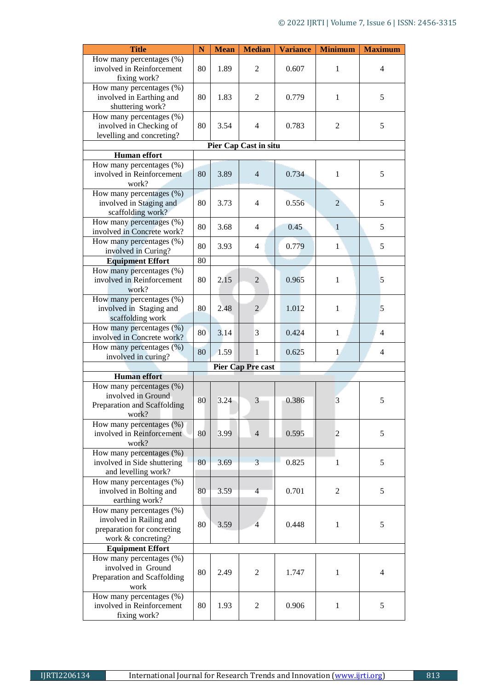| <b>Title</b>                                                                                               | $\mathbf N$ | <b>Mean</b> | <b>Median</b>                | <b>Variance</b> | <b>Minimum</b> | <b>Maximum</b> |
|------------------------------------------------------------------------------------------------------------|-------------|-------------|------------------------------|-----------------|----------------|----------------|
| How many percentages (%)<br>involved in Reinforcement<br>fixing work?                                      | 80          | 1.89        | 2                            | 0.607           | 1              | $\overline{4}$ |
| How many percentages (%)<br>involved in Earthing and<br>shuttering work?                                   | 80          | 1.83        | 2                            | 0.779           | 1              | 5              |
| How many percentages (%)<br>involved in Checking of<br>levelling and concreting?                           | 80          | 3.54        | $\overline{4}$               | 0.783           | $\overline{2}$ | 5              |
|                                                                                                            |             |             | <b>Pier Cap Cast in situ</b> |                 |                |                |
| <b>Human</b> effort                                                                                        |             |             |                              |                 |                |                |
| How many percentages (%)<br>involved in Reinforcement<br>work?                                             | 80          | 3.89        | $\overline{4}$               | 0.734           | $\mathbf{1}$   | 5              |
| How many percentages (%)<br>involved in Staging and<br>scaffolding work?                                   | 80          | 3.73        | $\overline{4}$               | 0.556           | $\overline{2}$ | 5              |
| How many percentages (%)<br>involved in Concrete work?                                                     | 80          | 3.68        | $\overline{4}$               | 0.45            | $\mathbf{1}$   | 5              |
| How many percentages (%)<br>involved in Curing?                                                            | 80          | 3.93        | 4                            | 0.779           | 1              | 5              |
| <b>Equipment Effort</b>                                                                                    | 80          |             |                              |                 |                |                |
| How many percentages (%)<br>involved in Reinforcement<br>work?                                             | 80          | 2.15        | $\overline{2}$               | 0.965           | $\mathbf{1}$   | 5              |
| How many percentages (%)<br>involved in Staging and<br>scaffolding work                                    | 80          | 2.48        | 2                            | 1.012           | 1              | 5              |
| How many percentages (%)<br>involved in Concrete work?                                                     | 80          | 3.14        | 3                            | 0.424           | $\mathbf{1}$   | $\overline{4}$ |
| How many percentages (%)<br>involved in curing?                                                            | 80          | 1.59        | $\mathbf{1}$                 | 0.625           | $\mathbf{1}$   | 4              |
|                                                                                                            |             |             | <b>Pier Cap Pre cast</b>     |                 |                |                |
| <b>Human</b> effort                                                                                        |             |             |                              |                 |                |                |
| How many percentages (%)<br>involved in Ground<br>Preparation and Scaffolding<br>work?                     | 80          | 3.24        | 3                            | 0.386           | 3              | 5              |
| How many percentages (%)<br>involved in Reinforcement<br>work?                                             | 80          | 3.99        | $\overline{4}$               | 0.595           | 2              | 5              |
| How many percentages (%)<br>involved in Side shuttering<br>and levelling work?                             | 80          | 3.69        | 3                            | 0.825           | 1              | 5              |
| How many percentages (%)<br>involved in Bolting and<br>earthing work?                                      | 80          | 3.59        | $\overline{4}$               | 0.701           | $\overline{c}$ | 5              |
| How many percentages $(\%)$<br>involved in Railing and<br>preparation for concreting<br>work & concreting? | 80          | 3.59        | $\overline{4}$               | 0.448           | 1              | 5              |
| <b>Equipment Effort</b>                                                                                    |             |             |                              |                 |                |                |
| How many percentages (%)<br>involved in Ground<br>Preparation and Scaffolding<br>work                      | 80          | 2.49        | 2                            | 1.747           | 1              | 4              |
| How many percentages (%)<br>involved in Reinforcement<br>fixing work?                                      | 80          | 1.93        | 2                            | 0.906           | $\mathbf{1}$   | 5              |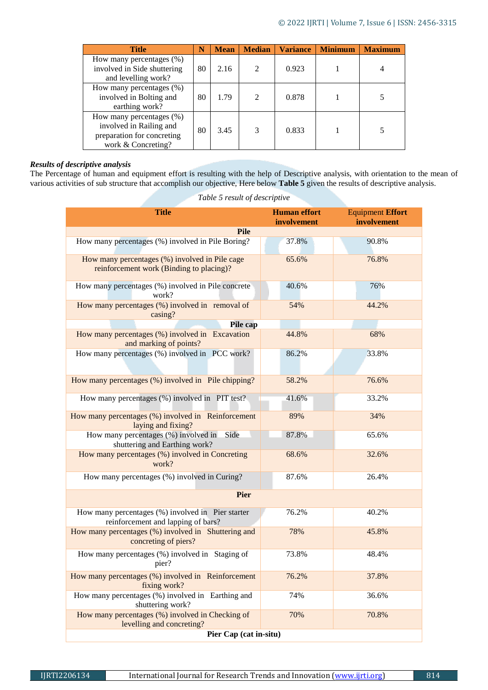| <b>Title</b>                                                                                            | N  | <b>Mean</b> | <b>Median</b>               | <b>Variance</b> | <b>Minimum</b> | <b>Maximum</b> |
|---------------------------------------------------------------------------------------------------------|----|-------------|-----------------------------|-----------------|----------------|----------------|
| How many percentages $(\%)$<br>involved in Side shuttering<br>and levelling work?                       | 80 | 2.16        | $\mathcal{D}_{\mathcal{A}}$ | 0.923           |                |                |
| How many percentages $(\%)$<br>involved in Bolting and<br>earthing work?                                | 80 | 1.79        | $\mathcal{D}_{\mathcal{L}}$ | 0.878           |                |                |
| How many percentages (%)<br>involved in Railing and<br>preparation for concreting<br>work & Concreting? | 80 | 3.45        | $\mathcal{R}$               | 0.833           |                |                |

# *Results of descriptive analysis*

The Percentage of human and equipment effort is resulting with the help of Descriptive analysis, with orientation to the mean of various activities of sub structure that accomplish our objective, Here below **Table 5** given the results of descriptive analysis.

| <b>Title</b>                                                                               | <b>Human</b> effort<br>involvement | <b>Equipment Effort</b><br>involvement |  |  |  |  |  |
|--------------------------------------------------------------------------------------------|------------------------------------|----------------------------------------|--|--|--|--|--|
| <b>Pile</b>                                                                                |                                    |                                        |  |  |  |  |  |
| How many percentages (%) involved in Pile Boring?                                          | 37.8%                              | 90.8%                                  |  |  |  |  |  |
| How many percentages (%) involved in Pile cage<br>reinforcement work (Binding to placing)? | 65.6%                              | 76.8%                                  |  |  |  |  |  |
| How many percentages (%) involved in Pile concrete<br>work?                                | 40.6%                              | 76%                                    |  |  |  |  |  |
| How many percentages $(\%)$ involved in removal of<br>casing?                              | 54%                                | 44.2%                                  |  |  |  |  |  |
| Pile cap                                                                                   |                                    |                                        |  |  |  |  |  |
| How many percentages (%) involved in Excavation<br>and marking of points?                  | 44.8%                              | 68%                                    |  |  |  |  |  |
| How many percentages (%) involved in PCC work?                                             | 86.2%                              | 33.8%                                  |  |  |  |  |  |
| How many percentages (%) involved in Pile chipping?                                        | 58.2%                              | 76.6%                                  |  |  |  |  |  |
| How many percentages (%) involved in PIT test?                                             | 41.6%                              | 33.2%                                  |  |  |  |  |  |
| How many percentages (%) involved in Reinforcement<br>laying and fixing?                   | 89%                                | 34%                                    |  |  |  |  |  |
| Side<br>How many percentages (%) involved in<br>shuttering and Earthing work?              | 87.8%                              | 65.6%                                  |  |  |  |  |  |
| How many percentages (%) involved in Concreting<br>work?                                   | 68.6%                              | 32.6%                                  |  |  |  |  |  |
| How many percentages (%) involved in Curing?                                               | 87.6%                              | 26.4%                                  |  |  |  |  |  |
| <b>Pier</b>                                                                                |                                    |                                        |  |  |  |  |  |
| How many percentages (%) involved in Pier starter<br>reinforcement and lapping of bars?    | 76.2%                              | 40.2%                                  |  |  |  |  |  |
| How many percentages (%) involved in Shuttering and<br>concreting of piers?                | 78%                                | 45.8%                                  |  |  |  |  |  |
| How many percentages (%) involved in Staging of<br>pier?                                   | 73.8%                              | 48.4%                                  |  |  |  |  |  |
| How many percentages (%) involved in Reinforcement<br>fixing work?                         | 76.2%                              | 37.8%                                  |  |  |  |  |  |
| How many percentages (%) involved in Earthing and<br>shuttering work?                      | 74%                                | 36.6%                                  |  |  |  |  |  |
| How many percentages (%) involved in Checking of<br>levelling and concreting?              | 70%                                | 70.8%                                  |  |  |  |  |  |
| Pier Cap (cat in-situ)                                                                     |                                    |                                        |  |  |  |  |  |

*Table 5 result of descriptive*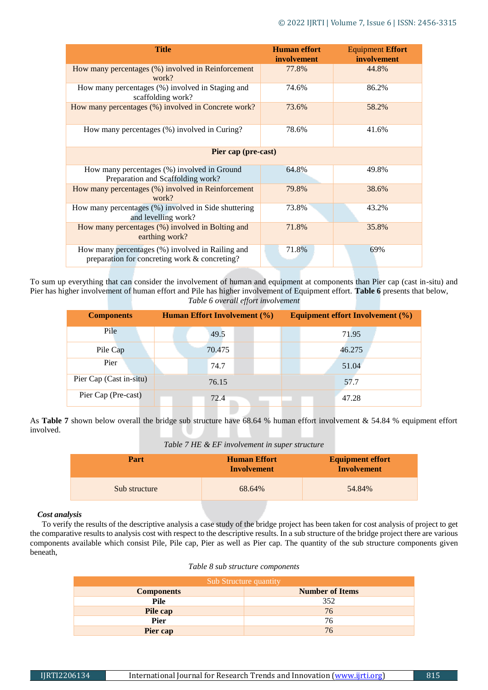| <b>Title</b>                                                                                      | <b>Human</b> effort<br>involvement | <b>Equipment Effort</b><br>involvement |
|---------------------------------------------------------------------------------------------------|------------------------------------|----------------------------------------|
| How many percentages (%) involved in Reinforcement<br>work?                                       | 77.8%                              | 44.8%                                  |
| How many percentages (%) involved in Staging and<br>scaffolding work?                             | 74.6%                              | 86.2%                                  |
| How many percentages (%) involved in Concrete work?                                               | 73.6%                              | 58.2%                                  |
| How many percentages (%) involved in Curing?                                                      | 78.6%                              | 41.6%                                  |
| Pier cap (pre-cast)                                                                               |                                    |                                        |
| How many percentages (%) involved in Ground<br>Preparation and Scaffolding work?                  | 64.8%                              | 49.8%                                  |
| How many percentages (%) involved in Reinforcement<br>work?                                       | 79.8%                              | 38.6%                                  |
| How many percentages (%) involved in Side shuttering<br>and levelling work?                       | 73.8%                              | 43.2%                                  |
| How many percentages (%) involved in Bolting and<br>earthing work?                                | 71.8%                              | 35.8%                                  |
| How many percentages (%) involved in Railing and<br>preparation for concreting work & concreting? | 71.8%                              | 69%                                    |

To sum up everything that can consider the involvement of human and equipment at components than Pier cap (cast in-situ) and Pier has higher involvement of human effort and Pile has higher involvement of Equipment effort. **Table 6** presents that below, *Table 6 overall effort involvement*

| <b>Components</b>       | <b>Human Effort Involvement (%)</b> |  | <b>Equipment effort Involvement (%)</b> |  |
|-------------------------|-------------------------------------|--|-----------------------------------------|--|
| Pile                    | 49.5                                |  | 71.95                                   |  |
| Pile Cap                | 70.475                              |  | 46.275                                  |  |
| Pier                    | 74.7                                |  | 51.04                                   |  |
| Pier Cap (Cast in-situ) | 76.15                               |  | 57.7                                    |  |
| Pier Cap (Pre-cast)     | 72.4                                |  | 47.28                                   |  |

As **Table 7** shown below overall the bridge sub structure have 68.64 % human effort involvement & 54.84 % equipment effort involved.

*Table 7 HE & EF involvement in super structure*

| Part          | <b>Human Effort</b><br>Involvement | <b>Equipment effort</b><br><b>Involvement</b> |  |
|---------------|------------------------------------|-----------------------------------------------|--|
| Sub structure | 68.64%                             | 54.84%                                        |  |

# *Cost analysis*

To verify the results of the descriptive analysis a case study of the bridge project has been taken for cost analysis of project to get the comparative results to analysis cost with respect to the descriptive results. In a sub structure of the bridge project there are various components available which consist Pile, Pile cap, Pier as well as Pier cap. The quantity of the sub structure components given beneath,

## *Table 8 sub structure components*

| Sub Structure quantity                      |     |  |  |  |  |
|---------------------------------------------|-----|--|--|--|--|
| <b>Number of Items</b><br><b>Components</b> |     |  |  |  |  |
| Pile                                        | 352 |  |  |  |  |
| Pile cap                                    | 76  |  |  |  |  |
| <b>Pier</b>                                 | 76  |  |  |  |  |
| Pier cap                                    | 76  |  |  |  |  |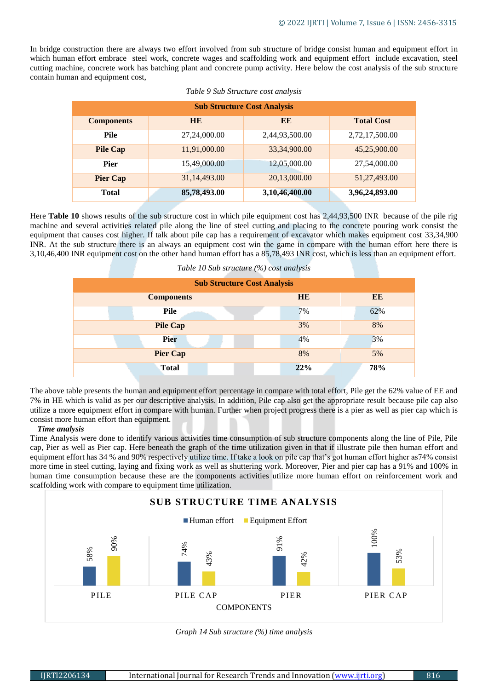In bridge construction there are always two effort involved from sub structure of bridge consist human and equipment effort in which human effort embrace steel work, concrete wages and scaffolding work and equipment effort include excavation, steel cutting machine, concrete work has batching plant and concrete pump activity. Here below the cost analysis of the sub structure contain human and equipment cost,

| <b>Sub Structure Cost Analysis</b> |              |                |                   |  |  |  |  |
|------------------------------------|--------------|----------------|-------------------|--|--|--|--|
| <b>Components</b>                  | <b>HE</b>    | EE             | <b>Total Cost</b> |  |  |  |  |
| <b>Pile</b>                        | 27,24,000.00 | 2,44,93,500.00 | 2,72,17,500.00    |  |  |  |  |
| <b>Pile Cap</b>                    | 11,91,000.00 | 33,34,900.00   | 45,25,900.00      |  |  |  |  |
| <b>Pier</b>                        | 15,49,000.00 | 12,05,000.00   | 27,54,000.00      |  |  |  |  |
| <b>Pier Cap</b>                    | 31,14,493.00 | 20,13,000.00   | 51,27,493.00      |  |  |  |  |
| <b>Total</b>                       | 85,78,493.00 | 3,10,46,400.00 | 3,96,24,893.00    |  |  |  |  |

Here **Table 10** shows results of the sub structure cost in which pile equipment cost has 2,44,93,500 INR because of the pile rig machine and several activities related pile along the line of steel cutting and placing to the concrete pouring work consist the equipment that causes cost higher. If talk about pile cap has a requirement of excavator which makes equipment cost 33,34,900 INR. At the sub structure there is an always an equipment cost win the game in compare with the human effort here there is 3,10,46,400 INR equipment cost on the other hand human effort has a 85,78,493 INR cost, which is less than an equipment effort.

*Table 10 Sub structure (%) cost analysis*

| <b>Sub Structure Cost Analysis</b> |           |     |
|------------------------------------|-----------|-----|
| <b>Components</b>                  | <b>HE</b> | EE  |
| Pile                               | 7%        | 62% |
| <b>Pile Cap</b>                    | 3%        | 8%  |
| <b>Pier</b>                        | 4%        | 3%  |
| <b>Pier Cap</b>                    | 8%        | 5%  |
| <b>Total</b>                       | 22%       | 78% |

The above table presents the human and equipment effort percentage in compare with total effort, Pile get the 62% value of EE and 7% in HE which is valid as per our descriptive analysis. In addition, Pile cap also get the appropriate result because pile cap also utilize a more equipment effort in compare with human. Further when project progress there is a pier as well as pier cap which is consist more human effort than equipment.

# *Time analysis*

Time Analysis were done to identify various activities time consumption of sub structure components along the line of Pile, Pile cap, Pier as well as Pier cap. Here beneath the graph of the time utilization given in that if illustrate pile then human effort and equipment effort has 34 % and 90% respectively utilize time. If take a look on pile cap that's got human effort higher as74% consist more time in steel cutting, laying and fixing work as well as shuttering work. Moreover, Pier and pier cap has a 91% and 100% in human time consumption because these are the components activities utilize more human effort on reinforcement work and scaffolding work with compare to equipment time utilization.



*Graph 14 Sub structure (%) time analysis*